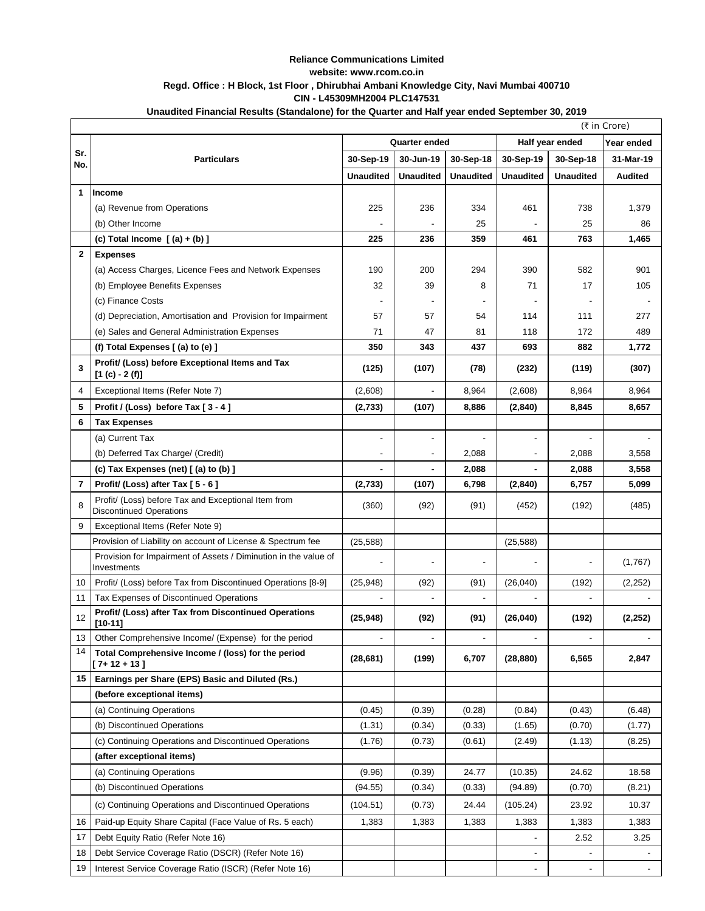## **Reliance Communications Limited website: www.rcom.co.in Regd. Office : H Block, 1st Floor , Dhirubhai Ambani Knowledge City, Navi Mumbai 400710 CIN - L45309MH2004 PLC147531**

## **Unaudited Financial Results (Standalone) for the Quarter and Half year ended September 30, 2019**

|                | (₹ in Crore)                                                                          |                          |                          |                          |                               |                  |                |
|----------------|---------------------------------------------------------------------------------------|--------------------------|--------------------------|--------------------------|-------------------------------|------------------|----------------|
|                |                                                                                       | <b>Quarter ended</b>     |                          |                          | Half year ended<br>Year ended |                  |                |
| Sr.<br>No.     | <b>Particulars</b>                                                                    | 30-Sep-19                | 30-Jun-19                | 30-Sep-18                | 30-Sep-19                     | 30-Sep-18        | 31-Mar-19      |
|                |                                                                                       | <b>Unaudited</b>         | <b>Unaudited</b>         | <b>Unaudited</b>         | <b>Unaudited</b>              | <b>Unaudited</b> | <b>Audited</b> |
| 1              | <b>Income</b>                                                                         |                          |                          |                          |                               |                  |                |
|                | (a) Revenue from Operations                                                           | 225                      | 236                      | 334                      | 461                           | 738              | 1,379          |
|                | (b) Other Income                                                                      |                          |                          | 25                       |                               | 25               | 86             |
|                | (c) Total Income $(a) + (b)$ ]                                                        | 225                      | 236                      | 359                      | 461                           | 763              | 1,465          |
| $\mathbf{2}$   | <b>Expenses</b>                                                                       |                          |                          |                          |                               |                  |                |
|                | (a) Access Charges, Licence Fees and Network Expenses                                 | 190                      | 200                      | 294                      | 390                           | 582              | 901            |
|                | (b) Employee Benefits Expenses                                                        | 32                       | 39                       | 8                        | 71                            | 17               | 105            |
|                | (c) Finance Costs                                                                     | $\overline{\phantom{a}}$ |                          | $\overline{\phantom{a}}$ |                               |                  |                |
|                | (d) Depreciation, Amortisation and Provision for Impairment                           | 57                       | 57                       | 54                       | 114                           | 111              | 277            |
|                | (e) Sales and General Administration Expenses                                         | 71                       | 47                       | 81                       | 118                           | 172              | 489            |
|                | (f) Total Expenses $[$ (a) to (e) $]$                                                 | 350                      | 343                      | 437                      | 693                           | 882              | 1,772          |
| 3              | Profit/ (Loss) before Exceptional Items and Tax<br>$[1 (c) - 2 (f)]$                  | (125)                    | (107)                    | (78)                     | (232)                         | (119)            | (307)          |
| $\overline{4}$ | Exceptional Items (Refer Note 7)                                                      | (2,608)                  |                          | 8,964                    | (2,608)                       | 8,964            | 8,964          |
| 5              | Profit / (Loss) before Tax [3-4]                                                      | (2,733)                  | (107)                    | 8,886                    | (2, 840)                      | 8,845            | 8,657          |
| 6              | <b>Tax Expenses</b>                                                                   |                          |                          |                          |                               |                  |                |
|                | (a) Current Tax                                                                       | $\overline{a}$           | $\frac{1}{2}$            |                          |                               |                  |                |
|                | (b) Deferred Tax Charge/ (Credit)                                                     |                          | $\overline{\phantom{a}}$ | 2,088                    |                               | 2,088            | 3,558          |
|                | (c) Tax Expenses (net) [(a) to (b) ]                                                  |                          |                          | 2,088                    |                               | 2,088            | 3,558          |
| 7              | Profit/ (Loss) after Tax [ 5 - 6]                                                     | (2,733)                  | (107)                    | 6,798                    | (2, 840)                      | 6,757            | 5,099          |
| 8              | Profit/ (Loss) before Tax and Exceptional Item from<br><b>Discontinued Operations</b> | (360)                    | (92)                     | (91)                     | (452)                         | (192)            | (485)          |
| 9              | Exceptional Items (Refer Note 9)                                                      |                          |                          |                          |                               |                  |                |
|                | Provision of Liability on account of License & Spectrum fee                           | (25, 588)                |                          |                          | (25, 588)                     |                  |                |
|                | Provision for Impairment of Assets / Diminution in the value of<br>Investments        |                          |                          | $\overline{a}$           |                               |                  | (1,767)        |
| 10             | Profit/ (Loss) before Tax from Discontinued Operations [8-9]                          | (25, 948)                | (92)                     | (91)                     | (26,040)                      | (192)            | (2, 252)       |
| 11             | Tax Expenses of Discontinued Operations                                               |                          | $\overline{\phantom{a}}$ | $\overline{\phantom{a}}$ |                               |                  |                |
| 12             | Profit/ (Loss) after Tax from Discontinued Operations<br>$[10-11]$                    | (25, 948)                | (92)                     | (91)                     | (26, 040)                     | (192)            | (2, 252)       |
| 13             | Other Comprehensive Income/ (Expense) for the period                                  |                          |                          |                          |                               |                  |                |
| 14             | Total Comprehensive Income / (loss) for the period<br>[ 7+ 12 + 13 ]                  | (28, 681)                | (199)                    | 6,707                    | (28, 880)                     | 6,565            | 2,847          |
| 15             | Earnings per Share (EPS) Basic and Diluted (Rs.)                                      |                          |                          |                          |                               |                  |                |
|                | (before exceptional items)                                                            |                          |                          |                          |                               |                  |                |
|                | (a) Continuing Operations                                                             | (0.45)                   | (0.39)                   | (0.28)                   | (0.84)                        | (0.43)           | (6.48)         |
|                | (b) Discontinued Operations                                                           | (1.31)                   | (0.34)                   | (0.33)                   | (1.65)                        | (0.70)           | (1.77)         |
|                | (c) Continuing Operations and Discontinued Operations                                 | (1.76)                   | (0.73)                   | (0.61)                   | (2.49)                        | (1.13)           | (8.25)         |
|                | (after exceptional items)                                                             |                          |                          |                          |                               |                  |                |
|                | (a) Continuing Operations                                                             | (9.96)                   | (0.39)                   | 24.77                    | (10.35)                       | 24.62            | 18.58          |
|                | (b) Discontinued Operations                                                           | (94.55)                  | (0.34)                   | (0.33)                   | (94.89)                       | (0.70)           | (8.21)         |
|                | (c) Continuing Operations and Discontinued Operations                                 | (104.51)                 | (0.73)                   | 24.44                    | (105.24)                      | 23.92            | 10.37          |
| 16             | Paid-up Equity Share Capital (Face Value of Rs. 5 each)                               | 1,383                    | 1,383                    | 1,383                    | 1,383                         | 1,383            | 1,383          |
| 17             | Debt Equity Ratio (Refer Note 16)                                                     |                          |                          |                          |                               | 2.52             | 3.25           |
| 18             | Debt Service Coverage Ratio (DSCR) (Refer Note 16)                                    |                          |                          |                          |                               |                  |                |
| 19             | Interest Service Coverage Ratio (ISCR) (Refer Note 16)                                |                          |                          |                          |                               |                  |                |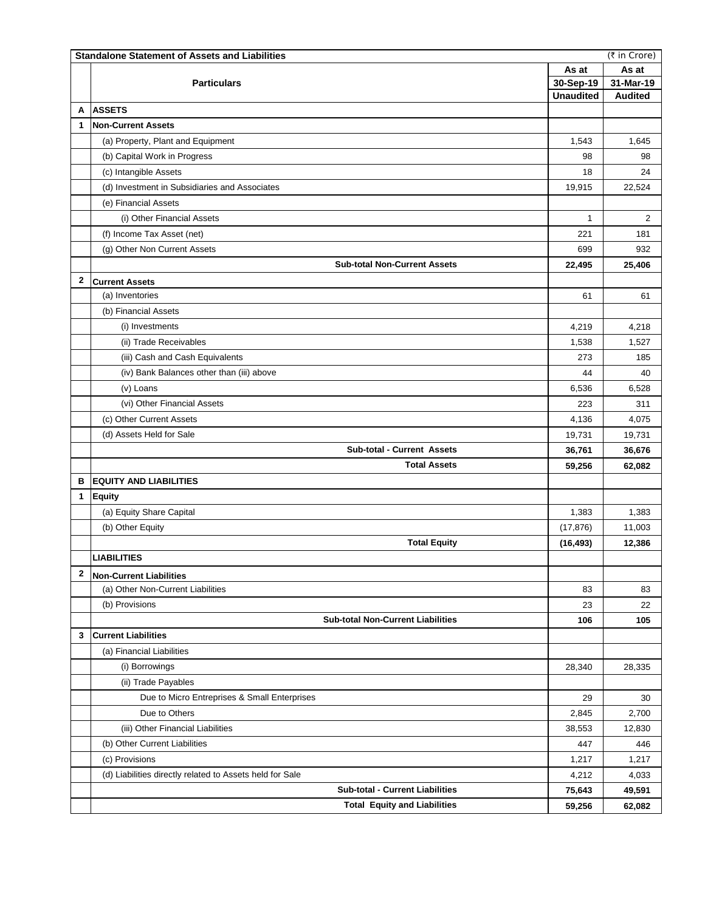|              | (₹ in Crore)<br><b>Standalone Statement of Assets and Liabilities</b> |                  |                |  |  |  |
|--------------|-----------------------------------------------------------------------|------------------|----------------|--|--|--|
|              |                                                                       |                  | As at          |  |  |  |
|              | <b>Particulars</b>                                                    | 30-Sep-19        | 31-Mar-19      |  |  |  |
|              |                                                                       | <b>Unaudited</b> | <b>Audited</b> |  |  |  |
| A            | <b>ASSETS</b>                                                         |                  |                |  |  |  |
| 1            | <b>Non-Current Assets</b>                                             |                  |                |  |  |  |
|              | (a) Property, Plant and Equipment                                     | 1,543            | 1,645          |  |  |  |
|              | (b) Capital Work in Progress                                          | 98               | 98             |  |  |  |
|              | (c) Intangible Assets                                                 | 18               | 24             |  |  |  |
|              | (d) Investment in Subsidiaries and Associates                         | 19,915           | 22,524         |  |  |  |
|              | (e) Financial Assets                                                  |                  |                |  |  |  |
|              | (i) Other Financial Assets                                            | $\mathbf{1}$     | $\overline{2}$ |  |  |  |
|              | (f) Income Tax Asset (net)                                            | 221              | 181            |  |  |  |
|              | (g) Other Non Current Assets                                          | 699              | 932            |  |  |  |
|              | <b>Sub-total Non-Current Assets</b>                                   | 22,495           | 25,406         |  |  |  |
| $\mathbf{2}$ | <b>Current Assets</b>                                                 |                  |                |  |  |  |
|              | (a) Inventories                                                       | 61               | 61             |  |  |  |
|              | (b) Financial Assets                                                  |                  |                |  |  |  |
|              | (i) Investments                                                       | 4,219            | 4,218          |  |  |  |
|              | (ii) Trade Receivables                                                | 1,538            | 1,527          |  |  |  |
|              | (iii) Cash and Cash Equivalents                                       | 273              | 185            |  |  |  |
|              | (iv) Bank Balances other than (iii) above                             | 44               | 40             |  |  |  |
|              | (v) Loans                                                             | 6,536            | 6,528          |  |  |  |
|              | (vi) Other Financial Assets                                           | 223              | 311            |  |  |  |
|              | (c) Other Current Assets                                              | 4,136            | 4,075          |  |  |  |
|              | (d) Assets Held for Sale                                              | 19,731           | 19,731         |  |  |  |
|              | Sub-total - Current Assets                                            | 36,761           | 36,676         |  |  |  |
|              | <b>Total Assets</b>                                                   | 59,256           | 62,082         |  |  |  |
| в            | <b>EQUITY AND LIABILITIES</b>                                         |                  |                |  |  |  |
| $\mathbf{1}$ | <b>Equity</b>                                                         |                  |                |  |  |  |
|              | (a) Equity Share Capital                                              | 1,383            | 1,383          |  |  |  |
|              | (b) Other Equity                                                      |                  | 11,003         |  |  |  |
|              | <b>Total Equity</b>                                                   | (17, 876)        | 12,386         |  |  |  |
|              | <b>LIABILITIES</b>                                                    | (16, 493)        |                |  |  |  |
| $\mathbf{2}$ |                                                                       |                  |                |  |  |  |
|              | <b>Non-Current Liabilities</b>                                        |                  |                |  |  |  |
|              | (a) Other Non-Current Liabilities                                     | 83               | 83             |  |  |  |
|              | (b) Provisions                                                        | 23               | 22             |  |  |  |
|              | <b>Sub-total Non-Current Liabilities</b>                              | 106              | 105            |  |  |  |
| 3            | <b>Current Liabilities</b>                                            |                  |                |  |  |  |
|              | (a) Financial Liabilities                                             |                  |                |  |  |  |
|              | (i) Borrowings                                                        | 28,340           | 28,335         |  |  |  |
|              | (ii) Trade Payables                                                   |                  |                |  |  |  |
|              | Due to Micro Entreprises & Small Enterprises                          | 29               | 30             |  |  |  |
|              | Due to Others                                                         | 2,845            | 2,700          |  |  |  |
|              | (iii) Other Financial Liabilities                                     | 38,553           | 12,830         |  |  |  |
|              | (b) Other Current Liabilities                                         | 447              | 446            |  |  |  |
|              | (c) Provisions                                                        | 1,217            | 1,217          |  |  |  |
|              | (d) Liabilities directly related to Assets held for Sale              | 4,212            | 4,033          |  |  |  |
|              | <b>Sub-total - Current Liabilities</b>                                | 75,643           | 49,591         |  |  |  |
|              | <b>Total Equity and Liabilities</b>                                   | 59,256           | 62,082         |  |  |  |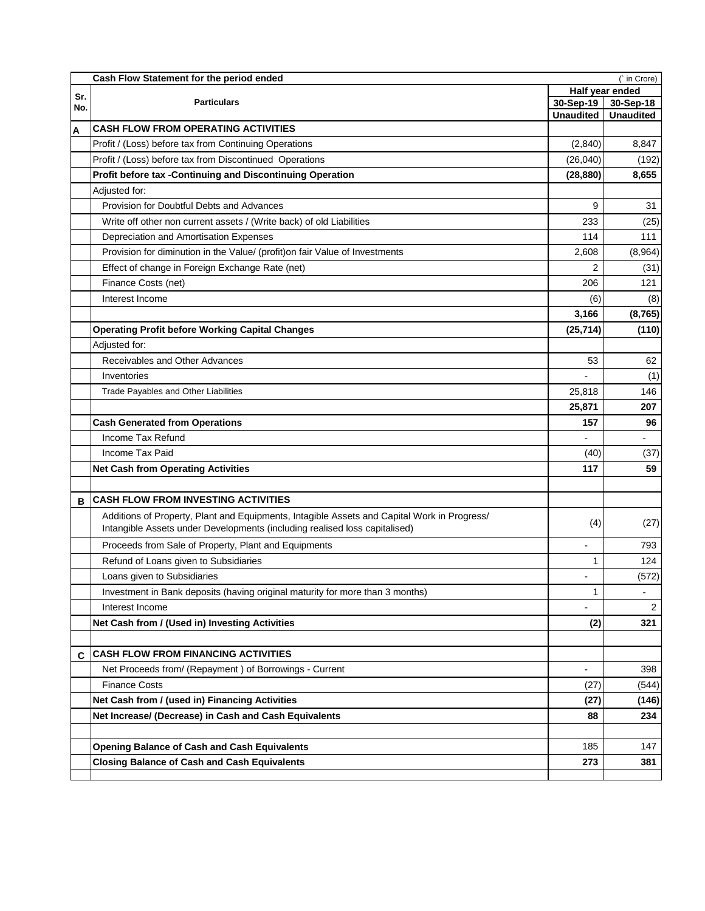|     | Cash Flow Statement for the period ended<br>(` in Crore)                                                                                                                  |                              |                  |  |  |  |
|-----|---------------------------------------------------------------------------------------------------------------------------------------------------------------------------|------------------------------|------------------|--|--|--|
| Sr. |                                                                                                                                                                           | Half year ended<br>30-Sep-19 |                  |  |  |  |
| No. | <b>Particulars</b>                                                                                                                                                        |                              | 30-Sep-18        |  |  |  |
|     | <b>CASH FLOW FROM OPERATING ACTIVITIES</b>                                                                                                                                | <b>Unaudited</b>             | <b>Unaudited</b> |  |  |  |
| A   |                                                                                                                                                                           |                              |                  |  |  |  |
|     | Profit / (Loss) before tax from Continuing Operations                                                                                                                     | (2,840)                      | 8,847            |  |  |  |
|     | Profit / (Loss) before tax from Discontinued Operations                                                                                                                   | (26, 040)                    | (192)            |  |  |  |
|     | Profit before tax -Continuing and Discontinuing Operation                                                                                                                 | (28, 880)                    | 8,655            |  |  |  |
|     | Adjusted for:                                                                                                                                                             |                              |                  |  |  |  |
|     | Provision for Doubtful Debts and Advances                                                                                                                                 | 9                            | 31               |  |  |  |
|     | Write off other non current assets / (Write back) of old Liabilities                                                                                                      | 233                          | (25)             |  |  |  |
|     | Depreciation and Amortisation Expenses                                                                                                                                    | 114                          | 111              |  |  |  |
|     | Provision for diminution in the Value/ (profit)on fair Value of Investments                                                                                               | 2,608                        | (8,964)          |  |  |  |
|     | Effect of change in Foreign Exchange Rate (net)                                                                                                                           | 2                            | (31)             |  |  |  |
|     | Finance Costs (net)                                                                                                                                                       | 206                          | 121              |  |  |  |
|     | Interest Income                                                                                                                                                           | (6)                          | (8)              |  |  |  |
|     |                                                                                                                                                                           | 3,166                        | (8, 765)         |  |  |  |
|     | <b>Operating Profit before Working Capital Changes</b>                                                                                                                    | (25, 714)                    | (110)            |  |  |  |
|     | Adjusted for:                                                                                                                                                             |                              |                  |  |  |  |
|     | Receivables and Other Advances                                                                                                                                            | 53                           | 62               |  |  |  |
|     | Inventories                                                                                                                                                               |                              | (1)              |  |  |  |
|     | Trade Payables and Other Liabilities                                                                                                                                      | 25,818                       | 146              |  |  |  |
|     |                                                                                                                                                                           | 25,871                       | 207              |  |  |  |
|     | <b>Cash Generated from Operations</b>                                                                                                                                     | 157                          | 96               |  |  |  |
|     | Income Tax Refund                                                                                                                                                         |                              |                  |  |  |  |
|     | Income Tax Paid                                                                                                                                                           | (40)                         | (37)             |  |  |  |
|     | <b>Net Cash from Operating Activities</b>                                                                                                                                 | 117                          | 59               |  |  |  |
|     |                                                                                                                                                                           |                              |                  |  |  |  |
| в   | <b>CASH FLOW FROM INVESTING ACTIVITIES</b>                                                                                                                                |                              |                  |  |  |  |
|     | Additions of Property, Plant and Equipments, Intagible Assets and Capital Work in Progress/<br>Intangible Assets under Developments (including realised loss capitalised) | (4)                          | (27)             |  |  |  |
|     | Proceeds from Sale of Property, Plant and Equipments                                                                                                                      |                              | 793              |  |  |  |
|     | Refund of Loans given to Subsidiaries                                                                                                                                     | 1                            | 124              |  |  |  |
|     | Loans given to Subsidiaries                                                                                                                                               |                              | (572)            |  |  |  |
|     | Investment in Bank deposits (having original maturity for more than 3 months)                                                                                             | 1                            | $\blacksquare$   |  |  |  |
|     | Interest Income                                                                                                                                                           |                              | $\overline{2}$   |  |  |  |
|     | Net Cash from / (Used in) Investing Activities                                                                                                                            | (2)                          | 321              |  |  |  |
|     |                                                                                                                                                                           |                              |                  |  |  |  |
| C   | <b>CASH FLOW FROM FINANCING ACTIVITIES</b>                                                                                                                                |                              |                  |  |  |  |
|     | Net Proceeds from/ (Repayment) of Borrowings - Current                                                                                                                    |                              | 398              |  |  |  |
|     | <b>Finance Costs</b>                                                                                                                                                      | (27)                         | (544)            |  |  |  |
|     |                                                                                                                                                                           |                              |                  |  |  |  |
|     | Net Cash from / (used in) Financing Activities                                                                                                                            | (27)                         | (146)            |  |  |  |
|     | Net Increase/ (Decrease) in Cash and Cash Equivalents                                                                                                                     | 88                           | 234              |  |  |  |
|     |                                                                                                                                                                           |                              |                  |  |  |  |
|     | <b>Opening Balance of Cash and Cash Equivalents</b>                                                                                                                       | 185                          | 147              |  |  |  |
|     | <b>Closing Balance of Cash and Cash Equivalents</b>                                                                                                                       | 273                          | 381              |  |  |  |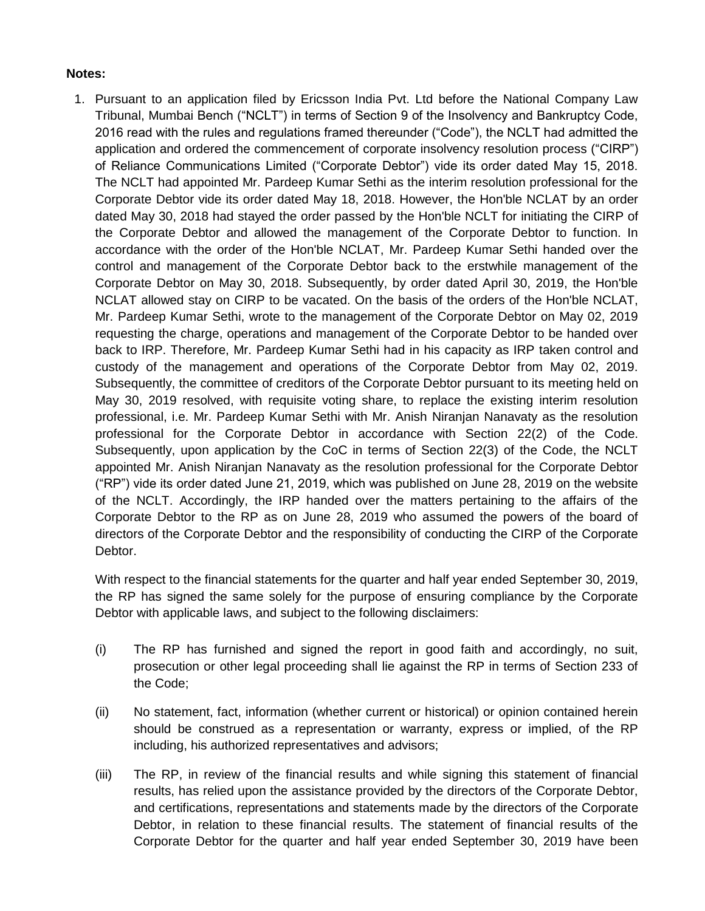## **Notes:**

1. Pursuant to an application filed by Ericsson India Pvt. Ltd before the National Company Law Tribunal, Mumbai Bench ("NCLT") in terms of Section 9 of the Insolvency and Bankruptcy Code, 2016 read with the rules and regulations framed thereunder ("Code"), the NCLT had admitted the application and ordered the commencement of corporate insolvency resolution process ("CIRP") of Reliance Communications Limited ("Corporate Debtor") vide its order dated May 15, 2018. The NCLT had appointed Mr. Pardeep Kumar Sethi as the interim resolution professional for the Corporate Debtor vide its order dated May 18, 2018. However, the Hon'ble NCLAT by an order dated May 30, 2018 had stayed the order passed by the Hon'ble NCLT for initiating the CIRP of the Corporate Debtor and allowed the management of the Corporate Debtor to function. In accordance with the order of the Hon'ble NCLAT, Mr. Pardeep Kumar Sethi handed over the control and management of the Corporate Debtor back to the erstwhile management of the Corporate Debtor on May 30, 2018. Subsequently, by order dated April 30, 2019, the Hon'ble NCLAT allowed stay on CIRP to be vacated. On the basis of the orders of the Hon'ble NCLAT, Mr. Pardeep Kumar Sethi, wrote to the management of the Corporate Debtor on May 02, 2019 requesting the charge, operations and management of the Corporate Debtor to be handed over back to IRP. Therefore, Mr. Pardeep Kumar Sethi had in his capacity as IRP taken control and custody of the management and operations of the Corporate Debtor from May 02, 2019. Subsequently, the committee of creditors of the Corporate Debtor pursuant to its meeting held on May 30, 2019 resolved, with requisite voting share, to replace the existing interim resolution professional, i.e. Mr. Pardeep Kumar Sethi with Mr. Anish Niranjan Nanavaty as the resolution professional for the Corporate Debtor in accordance with Section 22(2) of the Code. Subsequently, upon application by the CoC in terms of Section 22(3) of the Code, the NCLT appointed Mr. Anish Niranjan Nanavaty as the resolution professional for the Corporate Debtor ("RP") vide its order dated June 21, 2019, which was published on June 28, 2019 on the website of the NCLT. Accordingly, the IRP handed over the matters pertaining to the affairs of the Corporate Debtor to the RP as on June 28, 2019 who assumed the powers of the board of directors of the Corporate Debtor and the responsibility of conducting the CIRP of the Corporate Debtor.

With respect to the financial statements for the quarter and half year ended September 30, 2019, the RP has signed the same solely for the purpose of ensuring compliance by the Corporate Debtor with applicable laws, and subject to the following disclaimers:

- (i) The RP has furnished and signed the report in good faith and accordingly, no suit, prosecution or other legal proceeding shall lie against the RP in terms of Section 233 of the Code;
- (ii) No statement, fact, information (whether current or historical) or opinion contained herein should be construed as a representation or warranty, express or implied, of the RP including, his authorized representatives and advisors;
- (iii) The RP, in review of the financial results and while signing this statement of financial results, has relied upon the assistance provided by the directors of the Corporate Debtor, and certifications, representations and statements made by the directors of the Corporate Debtor, in relation to these financial results. The statement of financial results of the Corporate Debtor for the quarter and half year ended September 30, 2019 have been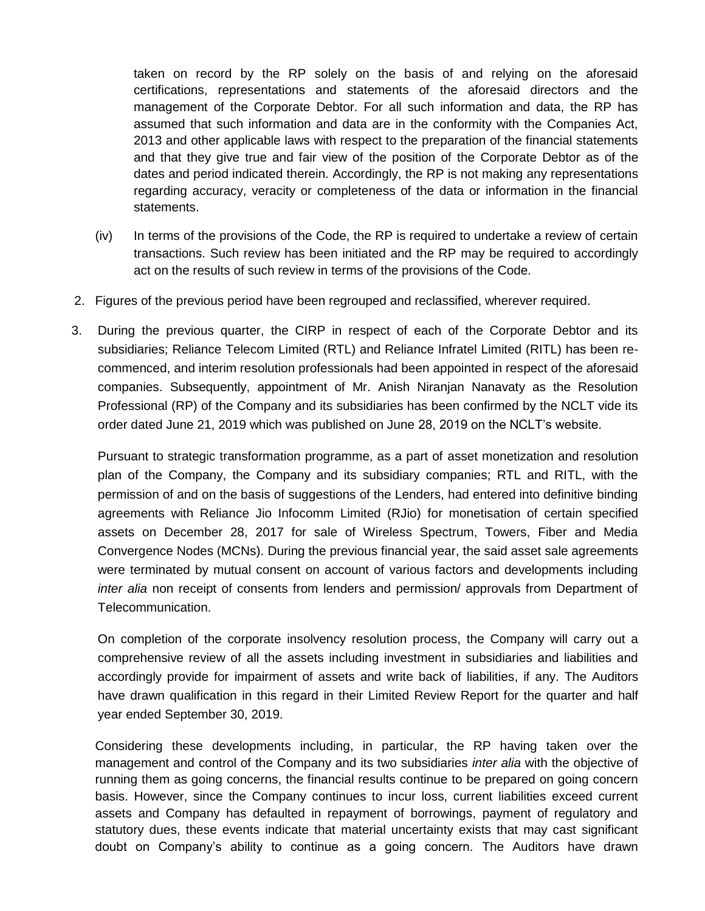taken on record by the RP solely on the basis of and relying on the aforesaid certifications, representations and statements of the aforesaid directors and the management of the Corporate Debtor. For all such information and data, the RP has assumed that such information and data are in the conformity with the Companies Act, 2013 and other applicable laws with respect to the preparation of the financial statements and that they give true and fair view of the position of the Corporate Debtor as of the dates and period indicated therein. Accordingly, the RP is not making any representations regarding accuracy, veracity or completeness of the data or information in the financial statements.

- (iv) In terms of the provisions of the Code, the RP is required to undertake a review of certain transactions. Such review has been initiated and the RP may be required to accordingly act on the results of such review in terms of the provisions of the Code.
- 2. Figures of the previous period have been regrouped and reclassified, wherever required.
- 3. During the previous quarter, the CIRP in respect of each of the Corporate Debtor and its subsidiaries; Reliance Telecom Limited (RTL) and Reliance Infratel Limited (RITL) has been recommenced, and interim resolution professionals had been appointed in respect of the aforesaid companies. Subsequently, appointment of Mr. Anish Niranjan Nanavaty as the Resolution Professional (RP) of the Company and its subsidiaries has been confirmed by the NCLT vide its order dated June 21, 2019 which was published on June 28, 2019 on the NCLT's website.

Pursuant to strategic transformation programme, as a part of asset monetization and resolution plan of the Company, the Company and its subsidiary companies; RTL and RITL, with the permission of and on the basis of suggestions of the Lenders, had entered into definitive binding agreements with Reliance Jio Infocomm Limited (RJio) for monetisation of certain specified assets on December 28, 2017 for sale of Wireless Spectrum, Towers, Fiber and Media Convergence Nodes (MCNs). During the previous financial year, the said asset sale agreements were terminated by mutual consent on account of various factors and developments including *inter alia* non receipt of consents from lenders and permission/ approvals from Department of Telecommunication.

On completion of the corporate insolvency resolution process, the Company will carry out a comprehensive review of all the assets including investment in subsidiaries and liabilities and accordingly provide for impairment of assets and write back of liabilities, if any. The Auditors have drawn qualification in this regard in their Limited Review Report for the quarter and half year ended September 30, 2019.

Considering these developments including, in particular, the RP having taken over the management and control of the Company and its two subsidiaries *inter alia* with the objective of running them as going concerns, the financial results continue to be prepared on going concern basis. However, since the Company continues to incur loss, current liabilities exceed current assets and Company has defaulted in repayment of borrowings, payment of regulatory and statutory dues, these events indicate that material uncertainty exists that may cast significant doubt on Company's ability to continue as a going concern. The Auditors have drawn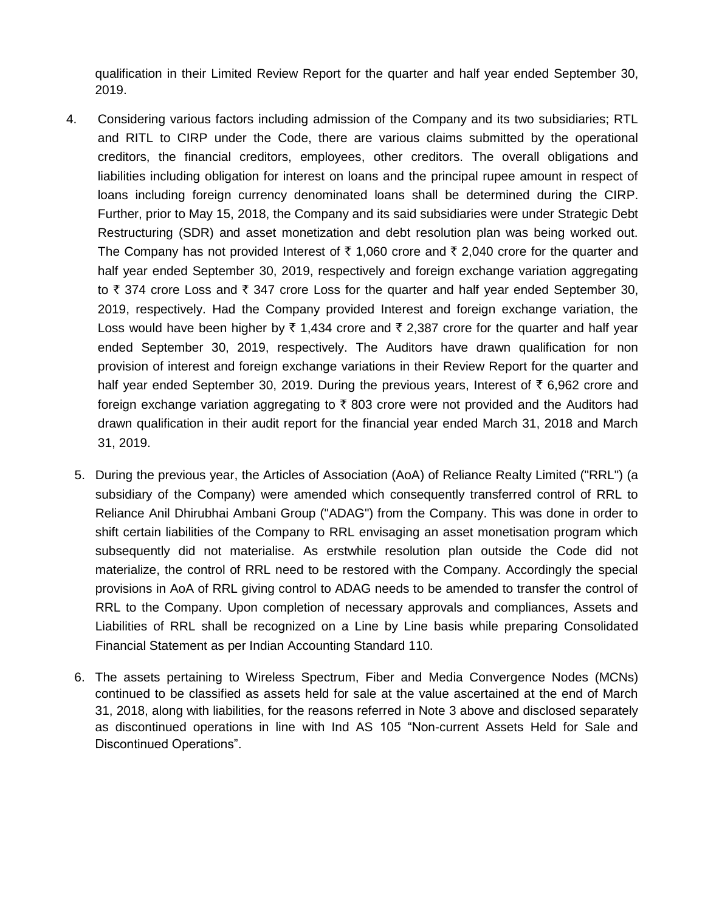qualification in their Limited Review Report for the quarter and half year ended September 30, 2019.

- 4. Considering various factors including admission of the Company and its two subsidiaries; RTL and RITL to CIRP under the Code, there are various claims submitted by the operational creditors, the financial creditors, employees, other creditors. The overall obligations and liabilities including obligation for interest on loans and the principal rupee amount in respect of loans including foreign currency denominated loans shall be determined during the CIRP. Further, prior to May 15, 2018, the Company and its said subsidiaries were under Strategic Debt Restructuring (SDR) and asset monetization and debt resolution plan was being worked out. The Company has not provided Interest of  $\bar{\tau}$  1,060 crore and  $\bar{\tau}$  2,040 crore for the quarter and half year ended September 30, 2019, respectively and foreign exchange variation aggregating to  $\bar{\tau}$  374 crore Loss and  $\bar{\tau}$  347 crore Loss for the quarter and half year ended September 30, 2019, respectively. Had the Company provided Interest and foreign exchange variation, the Loss would have been higher by  $\bar{\tau}$  1,434 crore and  $\bar{\tau}$  2,387 crore for the quarter and half year ended September 30, 2019, respectively. The Auditors have drawn qualification for non provision of interest and foreign exchange variations in their Review Report for the quarter and half year ended September 30, 2019. During the previous years, Interest of  $\bar{\tau}$  6,962 crore and foreign exchange variation aggregating to  $\bar{\tau}$  803 crore were not provided and the Auditors had drawn qualification in their audit report for the financial year ended March 31, 2018 and March 31, 2019.
	- 5. During the previous year, the Articles of Association (AoA) of Reliance Realty Limited ("RRL") (a subsidiary of the Company) were amended which consequently transferred control of RRL to Reliance Anil Dhirubhai Ambani Group ("ADAG") from the Company. This was done in order to shift certain liabilities of the Company to RRL envisaging an asset monetisation program which subsequently did not materialise. As erstwhile resolution plan outside the Code did not materialize, the control of RRL need to be restored with the Company. Accordingly the special provisions in AoA of RRL giving control to ADAG needs to be amended to transfer the control of RRL to the Company. Upon completion of necessary approvals and compliances, Assets and Liabilities of RRL shall be recognized on a Line by Line basis while preparing Consolidated Financial Statement as per Indian Accounting Standard 110.
	- 6. The assets pertaining to Wireless Spectrum, Fiber and Media Convergence Nodes (MCNs) continued to be classified as assets held for sale at the value ascertained at the end of March 31, 2018, along with liabilities, for the reasons referred in Note 3 above and disclosed separately as discontinued operations in line with Ind AS 105 "Non-current Assets Held for Sale and Discontinued Operations".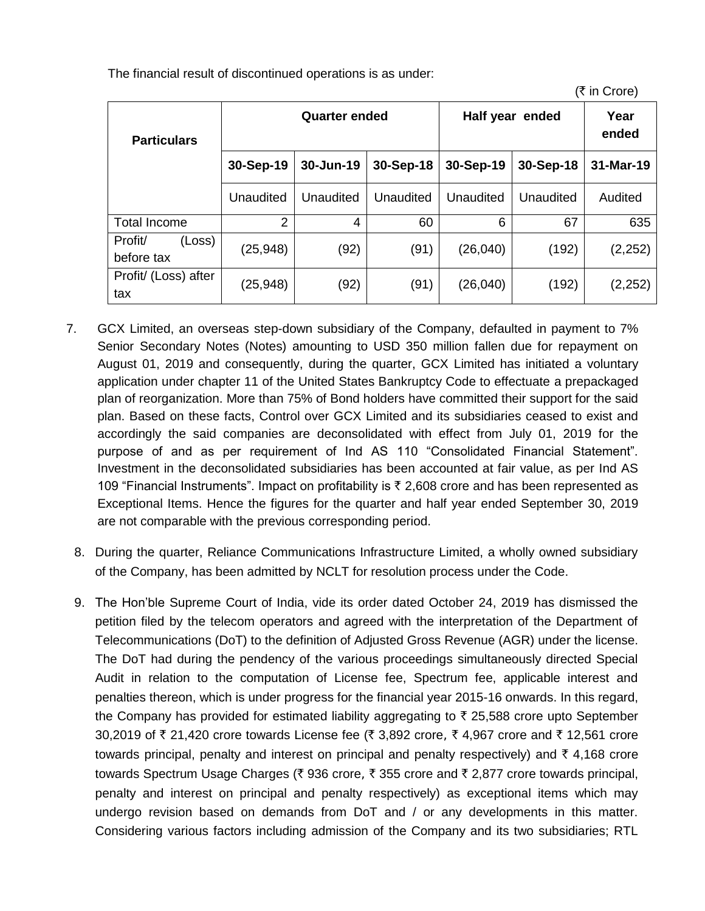The financial result of discontinued operations is as under:

| <b>Particulars</b>              | <b>Quarter ended</b> |           |           | Half year ended | Year<br>ended |           |
|---------------------------------|----------------------|-----------|-----------|-----------------|---------------|-----------|
|                                 | 30-Sep-19            | 30-Jun-19 | 30-Sep-18 | 30-Sep-19       | 30-Sep-18     | 31-Mar-19 |
|                                 | Unaudited            | Unaudited | Unaudited | Unaudited       | Unaudited     | Audited   |
| <b>Total Income</b>             | 2                    | 4         | 60        | 6               | 67            | 635       |
| Profit/<br>(Loss)<br>before tax | (25, 948)            | (92)      | (91)      | (26, 040)       | (192)         | (2, 252)  |
| Profit/ (Loss) after<br>tax     | (25, 948)            | (92)      | (91)      | (26, 040)       | (192)         | (2, 252)  |

 $($ ₹ in Crore)

- 7. GCX Limited, an overseas step-down subsidiary of the Company, defaulted in payment to 7% Senior Secondary Notes (Notes) amounting to USD 350 million fallen due for repayment on August 01, 2019 and consequently, during the quarter, GCX Limited has initiated a voluntary application under chapter 11 of the United States Bankruptcy Code to effectuate a prepackaged plan of reorganization. More than 75% of Bond holders have committed their support for the said plan. Based on these facts, Control over GCX Limited and its subsidiaries ceased to exist and accordingly the said companies are deconsolidated with effect from July 01, 2019 for the purpose of and as per requirement of Ind AS 110 "Consolidated Financial Statement". Investment in the deconsolidated subsidiaries has been accounted at fair value, as per Ind AS 109 "Financial Instruments". Impact on profitability is  $\bar{\tau}$  2,608 crore and has been represented as Exceptional Items. Hence the figures for the quarter and half year ended September 30, 2019 are not comparable with the previous corresponding period.
	- 8. During the quarter, Reliance Communications Infrastructure Limited, a wholly owned subsidiary of the Company, has been admitted by NCLT for resolution process under the Code.
	- 9. The Hon'ble Supreme Court of India, vide its order dated October 24, 2019 has dismissed the petition filed by the telecom operators and agreed with the interpretation of the Department of Telecommunications (DoT) to the definition of Adjusted Gross Revenue (AGR) under the license. The DoT had during the pendency of the various proceedings simultaneously directed Special Audit in relation to the computation of License fee, Spectrum fee, applicable interest and penalties thereon, which is under progress for the financial year 2015-16 onwards. In this regard, the Company has provided for estimated liability aggregating to  $\bar{\tau}$  25,588 crore upto September 30,2019 of  $\bar{\tau}$  21,420 crore towards License fee ( $\bar{\tau}$  3,892 crore,  $\bar{\tau}$  4,967 crore and  $\bar{\tau}$  12,561 crore towards principal, penalty and interest on principal and penalty respectively) and  $\bar{\tau}$  4,168 crore towards Spectrum Usage Charges (₹ 936 crore, ₹ 355 crore and ₹ 2,877 crore towards principal, penalty and interest on principal and penalty respectively) as exceptional items which may undergo revision based on demands from DoT and / or any developments in this matter. Considering various factors including admission of the Company and its two subsidiaries; RTL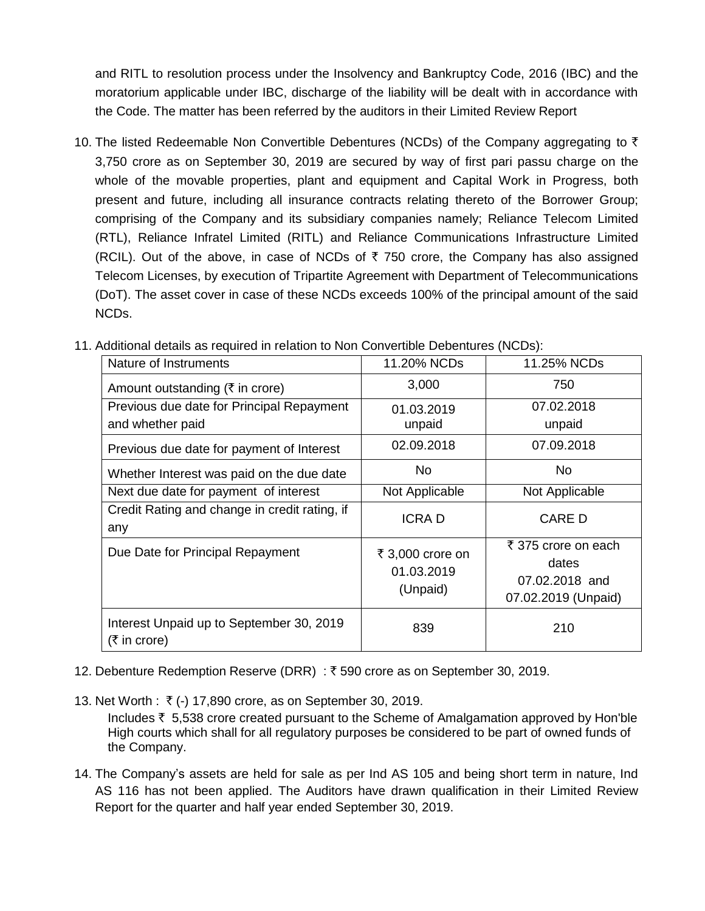and RITL to resolution process under the Insolvency and Bankruptcy Code, 2016 (IBC) and the moratorium applicable under IBC, discharge of the liability will be dealt with in accordance with the Code. The matter has been referred by the auditors in their Limited Review Report

10. The listed Redeemable Non Convertible Debentures (NCDs) of the Company aggregating to  $\bar{\tau}$ 3,750 crore as on September 30, 2019 are secured by way of first pari passu charge on the whole of the movable properties, plant and equipment and Capital Work in Progress, both present and future, including all insurance contracts relating thereto of the Borrower Group; comprising of the Company and its subsidiary companies namely; Reliance Telecom Limited (RTL), Reliance Infratel Limited (RITL) and Reliance Communications Infrastructure Limited (RCIL). Out of the above, in case of NCDs of  $\bar{\tau}$  750 crore, the Company has also assigned Telecom Licenses, by execution of Tripartite Agreement with Department of Telecommunications (DoT). The asset cover in case of these NCDs exceeds 100% of the principal amount of the said NCDs.

| Nature of Instruments                                         | 11.20% NCDs                                | 11.25% NCDs                                                           |
|---------------------------------------------------------------|--------------------------------------------|-----------------------------------------------------------------------|
| Amount outstanding ( $\overline{\xi}$ in crore)               | 3,000                                      | 750                                                                   |
| Previous due date for Principal Repayment<br>and whether paid | 01.03.2019<br>unpaid                       | 07.02.2018<br>unpaid                                                  |
| Previous due date for payment of Interest                     | 02.09.2018                                 | 07.09.2018                                                            |
| Whether Interest was paid on the due date                     | No.                                        | No.                                                                   |
| Next due date for payment of interest                         | Not Applicable                             | Not Applicable                                                        |
| Credit Rating and change in credit rating, if<br>any          | <b>ICRAD</b>                               | <b>CARE D</b>                                                         |
| Due Date for Principal Repayment                              | ₹ 3,000 crore on<br>01.03.2019<br>(Unpaid) | ₹ 375 crore on each<br>dates<br>07.02.2018 and<br>07.02.2019 (Unpaid) |
| Interest Unpaid up to September 30, 2019<br>(₹ in core)       | 839                                        | 210                                                                   |

11. Additional details as required in relation to Non Convertible Debentures (NCDs):

- 12. Debenture Redemption Reserve (DRR) : ₹590 crore as on September 30, 2019.
- 13. Net Worth : ₹ (-) 17,890 crore, as on September 30, 2019.

Includes  $\bar{\tau}$  5,538 crore created pursuant to the Scheme of Amalgamation approved by Hon'ble High courts which shall for all regulatory purposes be considered to be part of owned funds of the Company.

14. The Company's assets are held for sale as per Ind AS 105 and being short term in nature, Ind AS 116 has not been applied. The Auditors have drawn qualification in their Limited Review Report for the quarter and half year ended September 30, 2019.